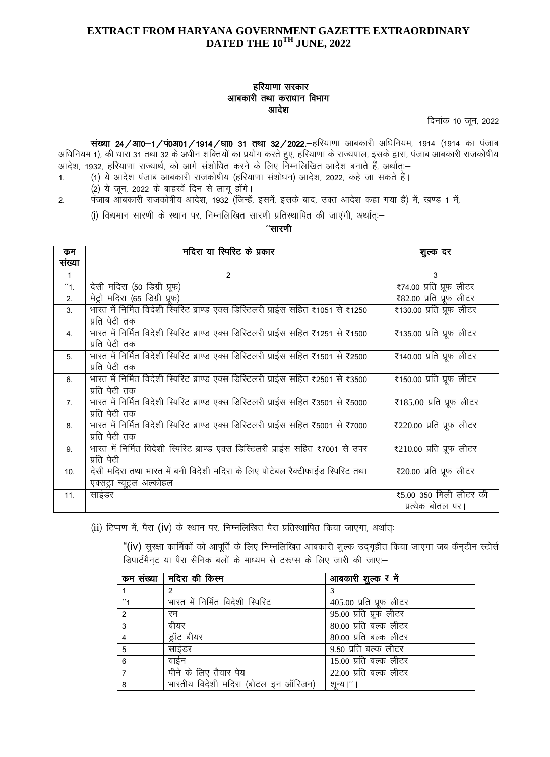### हरियाणा सरकार आबकारी तथा कराधान विभाग आदेश

दिनांक 10 जून, 2022

संख्या 24 / आ0-1 / पं0अ01 / 1914 / धा0 31 तथा 32 / 2022. हरियाणा आबकारी अधिनियम, 1914 (1914 का पंजाब अधिनियम 1), की धारा 31 तथा 32 के अधीन शक्तियों का प्रयोग करते हुए, हरियाणा के राज्यपाल, इसके द्वारा, पंजाब आबकारी राजकोषीय आदेश, 1932, हरियाणा राज्यार्थ, को आगे संशोधित करने के लिए निम्नलिखित आदेश बनाते हैं, अर्थातः–

- (1) ये आदेश पंजाब आबकारी राजकोषीय (हरियाणा संशोधन) आदेश, 2022, कहे जा सकते हैं।  $1<sup>1</sup>$ 
	- (2) ये जून, 2022 के बाहरवें दिन से लागू होंगे।
- पंजाब आबकारी राजकोषीय आदेश, 1932 (जिन्हें, इसमें, इसके बाद, उक्त आदेश कहा गया है) में, खण्ड 1 में, - $2.$ (i) विद्यमान सारणी के स्थान पर, निम्नलिखित सारणी प्रतिस्थापित की जाएंगी, अर्थात:-

"सारणी

| कम               | मदिरा या स्पिरिट के प्रकार                                                                                 | शुल्क दर                                      |
|------------------|------------------------------------------------------------------------------------------------------------|-----------------------------------------------|
| संख्या           |                                                                                                            |                                               |
| $\mathbf{1}$     | 2                                                                                                          | 3                                             |
| "1.              | देसी मदिरा (50 डिग्री प्रूफ)                                                                               | ₹74.00 प्रति प्रूफ लीटर                       |
| 2.               | मेट्रो मंदिरा (65 डिग्री प्रूफ)                                                                            | ₹82.00 प्रति प्रूफ लीटर                       |
| 3.               | भारत में निर्मित विदेशी स्पिरिट ब्राण्ड एक्स डिस्टिलरी प्राईस सहित ₹1051 से ₹1250<br>प्रति पेटी तक         | ₹130.00 प्रति प्रूफ लीटर                      |
| $\overline{4}$ . | भारत में निर्मित विदेशी स्पिरिट ब्राण्ड एक्स डिस्टिलरी प्राईस सहित ₹1251 से ₹1500<br>प्रति पेटी तक         | ₹135.00 प्रति प्रूफ लीटर                      |
| $5^{\circ}$      | भारत में निर्मित विदेशी स्पिरिट ब्राण्ड एक्स डिस्टिलरी प्राईस सहित ₹1501 से ₹2500<br>प्रति पेटी तक         | ₹140.00 प्रति प्रूफ लीटर                      |
| 6.               | भारत में निर्मित विदेशी स्पिरिट ब्राण्ड एक्स डिस्टिलरी प्राईस सहित ₹2501 से ₹3500<br>प्रति पेटी तक         | ₹150.00 प्रति प्रूफ लीटर                      |
| $\overline{7}$   | भारत में निर्मित विदेशी स्पिरिट ब्राण्ड एक्स डिस्टिलरी प्राईस सहित ₹3501 से ₹5000<br>प्रति पेटी तक         | ₹185.00 प्रति प्रूफ लीटर                      |
| 8.               | भारत में निर्मित विदेशी स्पिरिट ब्राण्ड एक्स डिस्टिलरी प्राईस सहित ₹5001 से ₹7000<br>प्रति पेटी तक         | $\overline{$220.00}$ प्रति प्रूफ लीटर         |
| 9.               | भारत में निर्मित विदेशी स्पिरिट ब्राण्ड एक्स डिस्टिलरी प्राईस सहित ₹7001 से उपर<br>प्रति पेटी              | $\overline{\epsilon}$ 210.00 प्रति प्रूफ लीटर |
| 10 <sub>1</sub>  | देसी मदिरा तथा भारत में बनी विदेशी मदिरा के लिए पोटेबल रैक्टीफाईड स्पिरिट तथा<br>एक्सट्रा न्यूट्रल अल्कोहल | ₹20.00 प्रति प्रूफ लीटर                       |
| 11.              | साईडर                                                                                                      | ₹5.00 350 मिली लीटर की<br>प्रत्येक बोतल पर।   |

(ii) टिप्पण में, पैरा (iv) के स्थान पर, निम्नलिखित पैरा प्रतिस्थापित किया जाएगा, अर्थात् :-

"(iv) सुरक्षा कार्मिकों को आपूर्ति के लिए निम्नलिखित आबकारी शुल्क उद्गृहीत किया जाएगा जब कैन्टीन स्टोर्स डिपार्टमैनट या पैरा सैनिक बलों के माध्यम से टरूप्स के लिए जारी की जाए:-

|   | कम संख्या   मदिरा की किस्म          | आबकारी शुल्क ₹ में      |
|---|-------------------------------------|-------------------------|
|   |                                     |                         |
|   | भारत में निर्मित विदेशी स्पिरिट     | 405.00 प्रति प्रूफ लीटर |
| 2 | रम                                  | 95.00 प्रति प्रूफ लीटर  |
| 3 | बीयर                                | 80.00 प्रति बल्क लीटर   |
|   | ड्रॉट बीयर                          | 80.00 प्रति बल्क लीटर   |
| 5 | साईडर                               | 9.50 प्रति बल्क लीटर    |
| 6 | वाईन                                | 15.00 प्रति बल्क लीटर   |
|   | पीने के लिए तैयार पेय               | 22.00 प्रति बल्क लीटर   |
| 8 | भारतीय विदेशी मदिरा (बोटल इन ऑरिजन) | शून्य।''।               |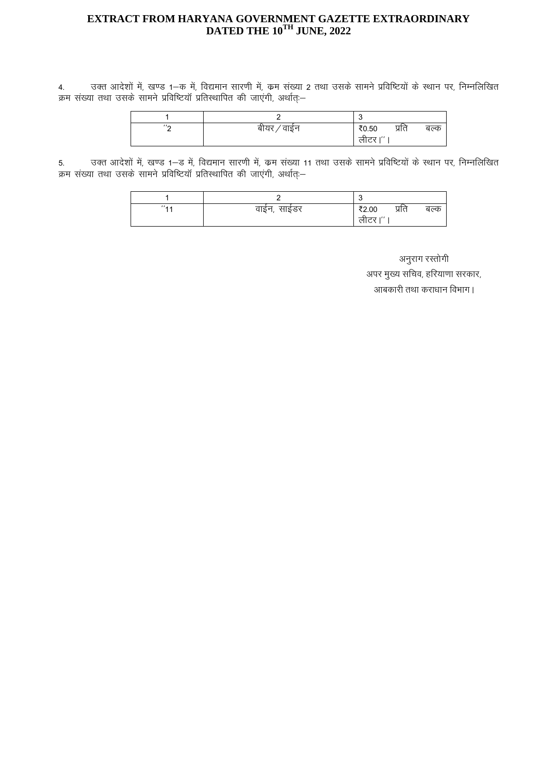4. जिल आदेशों में, खण्ड 1-क में, विद्यमान सारणी में, क्रम संख्या 2 तथा उसके सामने प्रविष्टियों के स्थान पर, निम्नलिखित क्रम संख्या तथा उसके सामने प्रविष्टियॉ प्रतिस्थापित की जाएंगी, अर्थात्≔

|                   |                | J                 |       |      |
|-------------------|----------------|-------------------|-------|------|
| $^{\prime\prime}$ | वाईन<br>बायर , | ₹0.50             | प्रति | बल्क |
|                   |                | $-1111$<br>लेटिर। |       |      |

5. उक्त आदेशों में, खण्ड 1–ड में, विद्यमान सारणी में, क्रम संख्या 11 तथा उसके सामने प्रविष्टियों के स्थान पर, निम्नलिखित कम संख्या तथा उसके सामने प्रविष्टियाँ प्रतिस्थापित की जाएंगी, अर्थात्≔

|                      |                | $\epsilon$<br>J          |       |      |
|----------------------|----------------|--------------------------|-------|------|
| $^{\prime\prime}$ AA | साईडर<br>वाईन, | ₹2.00<br>$\cdot$<br>लाटर | प्रति | बल्क |

अनुराग रस्तोगी अपर मुख्य सचिव, हरियाणा सरकार,

आबकारी तथा कराधान विभाग।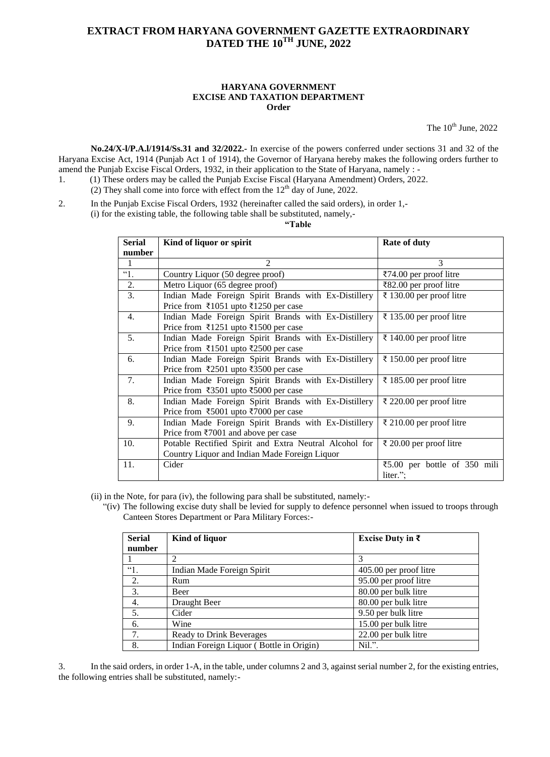#### **HARYANA GOVERNMENT EXCISE AND TAXATION DEPARTMENT Order**

The  $10^{th}$  June,  $2022$ 

**No.24/X-l/P.A.l/1914/Ss.31 and 32/2022.-** In exercise of the powers conferred under sections 31 and 32 of the Haryana Excise Act, 1914 (Punjab Act 1 of 1914), the Governor of Haryana hereby makes the following orders further to amend the Punjab Excise Fiscal Orders, 1932, in their application to the State of Haryana, namely : -

- 1. (1) These orders may be called the Punjab Excise Fiscal (Haryana Amendment) Orders, 2022.
- (2) They shall come into force with effect from the  $12<sup>th</sup>$  day of June, 2022.
- 2. In the Punjab Excise Fiscal Orders, 1932 (hereinafter called the said orders), in order 1,-

(i) for the existing table, the following table shall be substituted, namely,-

**"Table**

| <b>Serial</b> | Kind of liquor or spirit                               | <b>Rate of duty</b>                               |
|---------------|--------------------------------------------------------|---------------------------------------------------|
| number        |                                                        |                                                   |
| 1             | $\mathfrak{D}$                                         | 3                                                 |
| ~1.           | Country Liquor (50 degree proof)                       | $\overline{3}74.00$ per proof litre               |
| 2.            | Metro Liquor (65 degree proof)                         | ₹82.00 per proof litre                            |
| 3.            | Indian Made Foreign Spirit Brands with Ex-Distillery   | ₹ 130.00 per proof litre                          |
|               | Price from ₹1051 upto ₹1250 per case                   |                                                   |
| 4.            | Indian Made Foreign Spirit Brands with Ex-Distillery   | ₹ 135.00 per proof litre                          |
|               | Price from ₹1251 upto ₹1500 per case                   |                                                   |
| 5.            | Indian Made Foreign Spirit Brands with Ex-Distillery   | ₹ 140.00 per proof litre                          |
|               | Price from ₹1501 upto ₹2500 per case                   |                                                   |
| 6.            | Indian Made Foreign Spirit Brands with Ex-Distillery   | ₹ 150.00 per proof litre                          |
|               | Price from ₹2501 upto ₹3500 per case                   |                                                   |
| 7.            | Indian Made Foreign Spirit Brands with Ex-Distillery   | ₹ 185.00 per proof litre                          |
|               | Price from ₹3501 upto ₹5000 per case                   |                                                   |
| 8.            | Indian Made Foreign Spirit Brands with Ex-Distillery   | ₹ 220.00 per proof litre                          |
|               | Price from ₹5001 upto ₹7000 per case                   |                                                   |
| 9.            | Indian Made Foreign Spirit Brands with Ex-Distillery   | ₹ 210.00 per proof litre                          |
|               | Price from ₹7001 and above per case                    |                                                   |
| 10.           | Potable Rectified Spirit and Extra Neutral Alcohol for | ₹ 20.00 per proof litre                           |
|               | Country Liquor and Indian Made Foreign Liquor          |                                                   |
| 11.           | Cider                                                  | $\text{\textsterling}5.00$ per bottle of 350 mili |
|               |                                                        | liter.";                                          |

(ii) in the Note, for para (iv), the following para shall be substituted, namely:-

"(iv) The following excise duty shall be levied for supply to defence personnel when issued to troops through Canteen Stores Department or Para Military Forces:-

| <b>Serial</b> | Kind of liquor                           | Excise Duty in $\bar{\tau}$ |
|---------------|------------------------------------------|-----------------------------|
| number        |                                          |                             |
|               |                                          |                             |
| $\lq$ 1.      | Indian Made Foreign Spirit               | 405.00 per proof litre      |
| 2.            | Rum                                      | 95.00 per proof litre       |
| 3.            | Beer                                     | 80.00 per bulk litre        |
| 4.            | Draught Beer                             | 80.00 per bulk litre        |
| 5.            | Cider                                    | 9.50 per bulk litre         |
| 6.            | Wine                                     | 15.00 per bulk litre        |
| 7.            | <b>Ready to Drink Beverages</b>          | 22.00 per bulk litre        |
| 8.            | Indian Foreign Liquor (Bottle in Origin) | Nil.''.                     |

3. In the said orders, in order 1-A, in the table, under columns 2 and 3, against serial number 2, for the existing entries, the following entries shall be substituted, namely:-